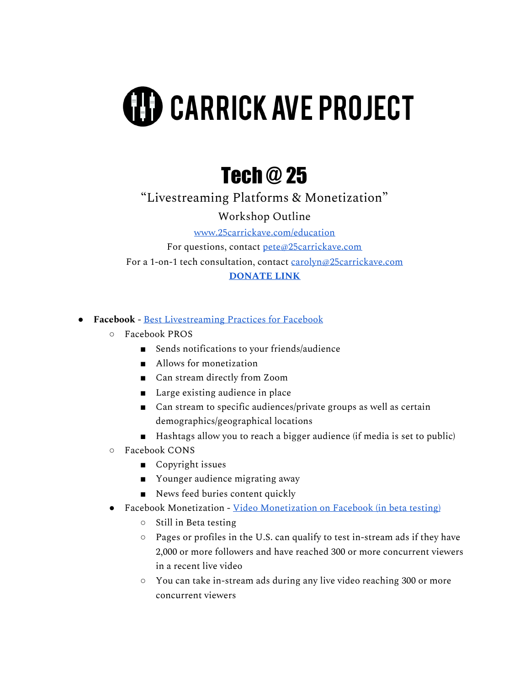## **(H) CARRICK AVE PROJECT**

## Tech @ 25

"Livestreaming Platforms & Monetization"

Workshop Outline

[www.25carrickave.com/education](http://www.25carrickave.com/education)

For questions, contact [pete@25carrickave.com](mailto:pete@25carrickave.com) For a 1-on-1 tech consultation, contact [carolyn@25carrickave.com](mailto:carolyn@25carrickave.com) **[DONATE](https://www.paypal.com/paypalme/25carrick) LINK**

**● Facebook** - Best [Livestreaming](https://www.facebook.com/business/help/626637251511853) Practices for Facebook

- Facebook PROS
	- Sends notifications to your friends/audience
	- Allows for monetization
	- Can stream directly from Zoom
	- Large existing audience in place
	- Can stream to specific audiences/private groups as well as certain demographics/geographical locations
	- Hashtags allow you to reach a bigger audience (if media is set to public)
- Facebook CONS
	- Copyright issues
	- Younger audience migrating away
	- News feed buries content quickly
- Facebook Monetization Video [Monetization](https://www.facebook.com/formedia/blog/an-update-on-video-monetization#:~:text=You%20can%20take%20in%2Dstream,5%20minutes%20between%20each%20break.) on Facebook (in beta testing)
	- Still in Beta testing
	- Pages or profiles in the U.S. can qualify to test in-stream ads if they have 2,000 or more followers and have reached 300 or more concurrent viewers in a recent live video
	- You can take in-stream ads during any live video reaching 300 or more concurrent viewers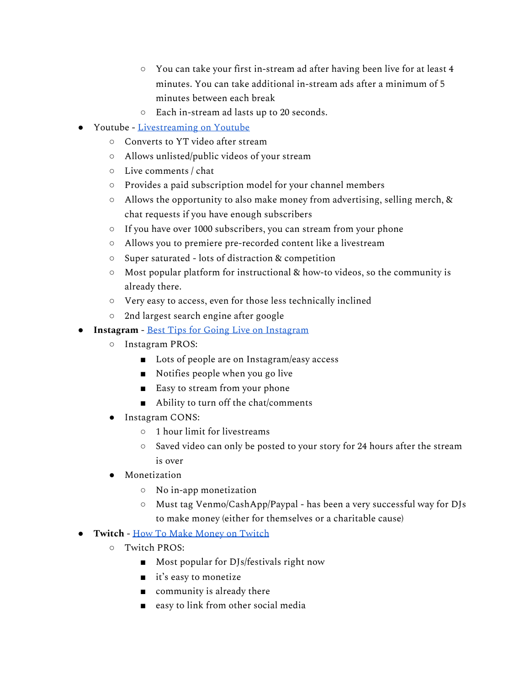- You can take your first in-stream ad after having been live for at least 4 minutes. You can take additional in-stream ads after a minimum of 5 minutes between each break
- Each in-stream ad lasts up to 20 seconds.
- Youtube [Livestreaming](https://support.google.com/youtube/topic/9257891?hl=en&ref_topic=9257610) on Youtube
	- Converts to YT video after stream
	- Allows unlisted/public videos of your stream
	- Live comments / chat
	- Provides a paid subscription model for your channel members
	- Allows the opportunity to also make money from advertising, selling merch, & chat requests if you have enough subscribers
	- If you have over 1000 subscribers, you can stream from your phone
	- Allows you to premiere pre-recorded content like a livestream
	- Super saturated lots of distraction & competition
	- Most popular platform for instructional & how-to videos, so the community is already there.
	- Very easy to access, even for those less technically inclined
	- 2nd largest search engine after google
- **● Instagram** Best Tips for Going Live on [Instagram](https://www.juicer.io/blog/7-secret-tips-for-the-best-instagram-live-videos)
	- Instagram PROS:
		- Lots of people are on Instagram/easy access
		- Notifies people when you go live
		- Easy to stream from your phone
		- Ability to turn off the chat/comments
	- Instagram CONS:
		- 1 hour limit for livestreams
		- Saved video can only be posted to your story for 24 hours after the stream is over
	- Monetization
		- No in-app monetization
		- Must tag Venmo/CashApp/Paypal has been a very successful way for DJs to make money (either for themselves or a charitable cause)
- **● Twitch** How To Make Money on [Twitch](https://brave.com/learn/making-money-streaming-on-twitch/)
	- Twitch PROS:
		- Most popular for DJs/festivals right now
		- it's easy to monetize
		- $\Box$  community is already there
		- easy to link from other social media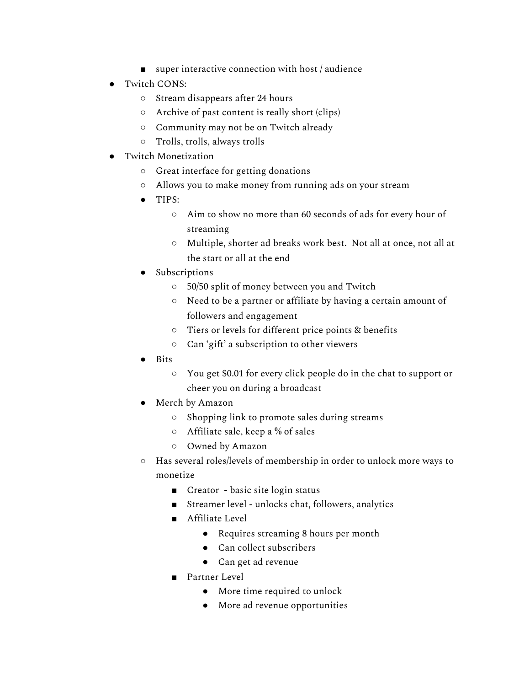- $\Box$  super interactive connection with host / audience
- Twitch CONS:
	- Stream disappears after 24 hours
	- Archive of past content is really short (clips)
	- Community may not be on Twitch already
	- Trolls, trolls, always trolls
- **Twitch Monetization** 
	- Great interface for getting donations
	- Allows you to make money from running ads on your stream
	- TIPS:
		- Aim to show no more than 60 seconds of ads for every hour of streaming
		- Multiple, shorter ad breaks work best. Not all at once, not all at the start or all at the end
	- Subscriptions
		- 50/50 split of money between you and Twitch
		- Need to be a partner or affiliate by having a certain amount of followers and engagement
		- Tiers or levels for different price points & benefits
		- Can 'gift' a subscription to other viewers
	- Bits
		- You get \$0.01 for every click people do in the chat to support or cheer you on during a broadcast
	- Merch by Amazon
		- Shopping link to promote sales during streams
		- Affiliate sale, keep a % of sales
		- Owned by Amazon
	- Has several roles/levels of membership in order to unlock more ways to monetize
		- Creator basic site login status
		- Streamer level unlocks chat, followers, analytics
		- Affiliate Level
			- Requires streaming 8 hours per month
			- Can collect subscribers
			- Can get ad revenue
		- Partner Level
			- More time required to unlock
			- More ad revenue opportunities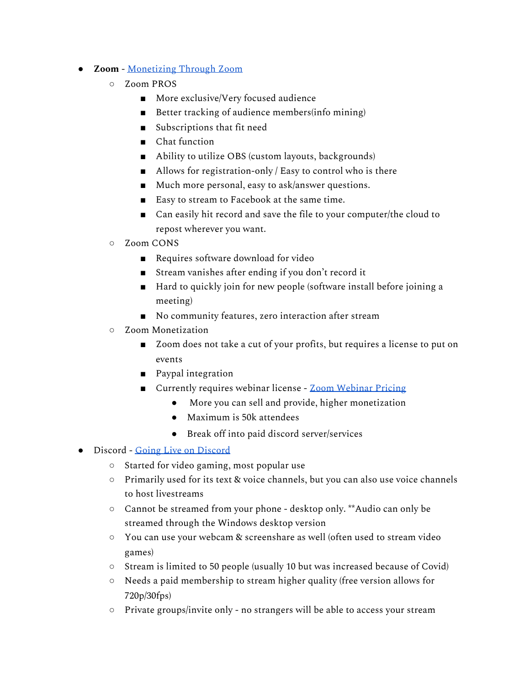- **● Zoom** [Monetizing](https://support.zoom.us/hc/en-us/articles/360018597111-Configuring-Zoom-webinars-with-PayPal) Through Zoom
	- Zoom PROS
		- More exclusive/Very focused audience
		- Better tracking of audience members(info mining)
		- Subscriptions that fit need
		- Chat function
		- Ability to utilize OBS (custom layouts, backgrounds)
		- Allows for registration-only / Easy to control who is there
		- Much more personal, easy to ask/answer questions.
		- Easy to stream to Facebook at the same time.
		- Can easily hit record and save the file to your computer/the cloud to repost wherever you want.
	- Zoom CONS
		- Requires software download for video
		- Stream vanishes after ending if you don't record it
		- Hard to quickly join for new people (software install before joining a meeting)
		- No community features, zero interaction after stream
	- Zoom Monetization
		- Zoom does not take a cut of your profits, but requires a license to put on events
		- Paypal integration
		- Currently requires webinar license Zoom [Webinar](https://zoom.us/pricing/webinar) Pricing
			- More you can sell and provide, higher monetization
			- Maximum is 50k attendees
			- Break off into paid discord server/services
- Discord Going Live on [Discord](https://www.businessinsider.com/how-to-stream-on-discord)
	- Started for video gaming, most popular use
	- Primarily used for its text & voice channels, but you can also use voice channels to host livestreams
	- Cannot be streamed from your phone desktop only. \*\*Audio can only be streamed through the Windows desktop version
	- You can use your webcam & screenshare as well (often used to stream video games)
	- Stream is limited to 50 people (usually 10 but was increased because of Covid)
	- Needs a paid membership to stream higher quality (free version allows for 720p/30fps)
	- Private groups/invite only no strangers will be able to access your stream